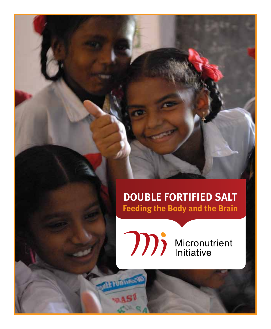# **Double Fortified Salt Feeding the Body and the Brain**



mandons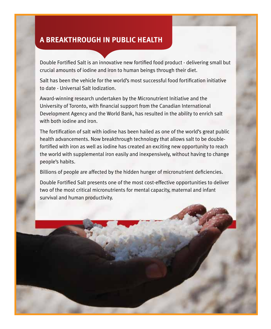## **A Breakthrough in Public Health**

Double Fortified Salt is an innovative new fortified food product - delivering small but crucial amounts of iodine and iron to human beings through their diet.

Salt has been the vehicle for the world's most successful food fortification initiative to date - Universal Salt Iodization.

Award-winning research undertaken by the Micronutrient Initiative and the University of Toronto, with financial support from the Canadian International Development Agency and the World Bank, has resulted in the ability to enrich salt with both iodine and iron.

The fortification of salt with iodine has been hailed as one of the world's great public health advancements. Now breakthrough technology that allows salt to be doublefortified with iron as well as iodine has created an exciting new opportunity to reach the world with supplemental iron easily and inexpensively, without having to change people's habits.

Billions of people are affected by the hidden hunger of micronutrient deficiencies.

Double Fortified Salt presents one of the most cost-effective opportunities to deliver two of the most critical micronutrients for mental capacity, maternal and infant survival and human productivity.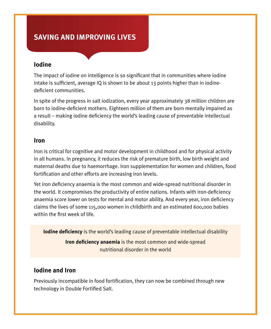# **Saving and Improving Lives**

### **Iodine**

The impact of iodine on intelligence is so significant that in communities where iodine intake is sufficient, average IQ is shown to be about 13 points higher than in iodinedeficient communities.

In spite of the progress in salt iodization, every year approximately 38 million children are born to iodine-deficient mothers. Eighteen million of them are born mentally impaired as a result – making iodine deficiency the world's leading cause of preventable intellectual disability.

#### **Iron**

Iron is critical for cognitive and motor development in childhood and for physical activity in all humans. In pregnancy, it reduces the risk of premature birth, low birth weight and maternal deaths due to haemorrhage. Iron supplementation for women and children, food fortification and other efforts are increasing iron levels.

Yet iron deficiency anaemia is the most common and wide-spread nutritional disorder in the world. It compromises the productivity of entire nations. Infants with iron-deficiency anaemia score lower on tests for mental and motor ability. And every year, iron deficiency claims the lives of some 115,000 women in childbirth and an estimated 600,000 babies within the first week of life.

**Iodine deficiency** is the world's leading cause of preventable intellectual disability

**Iron deficiency anaemia** is the most common and wide-spread nutritional disorder in the world

### **Iodine and Iron**

Previously incompatible in food fortification, they can now be combined through new technology in Double Fortified Salt.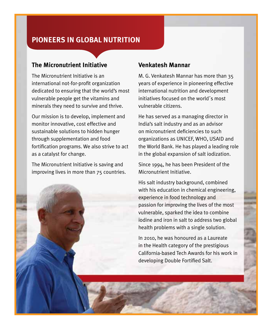# **Pioneers in Global Nutrition**

#### **The Micronutrient Initiative**

The Micronutrient Initiative is an international not-for-profit organization dedicated to ensuring that the world's most vulnerable people get the vitamins and minerals they need to survive and thrive.

Our mission is to develop, implement and monitor innovative, cost effective and sustainable solutions to hidden hunger through supplementation and food fortification programs. We also strive to act as a catalyst for change.

The Micronutrient Initiative is saving and improving lives in more than 75 countries.

#### **Venkatesh Mannar**

M. G. Venkatesh Mannar has more than 35 years of experience in pioneering effective international nutrition and development initiatives focused on the world´s most vulnerable citizens.

He has served as a managing director in India's salt industry and as an advisor on micronutrient deficiencies to such organizations as UNICEF, WHO, USAID and the World Bank. He has played a leading role in the global expansion of salt iodization.

Since 1994, he has been President of the Micronutrient Initiative.

His salt industry background, combined with his education in chemical engineering, experience in food technology and passion for improving the lives of the most vulnerable, sparked the idea to combine iodine and iron in salt to address two global health problems with a single solution.

In 2010, he was honoured as a Laureate in the Health category of the prestigious California-based Tech Awards for his work in developing Double Fortified Salt.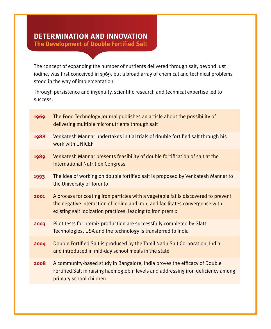# **Determination and Innovation**

**The Development of Double Fortified Salt**

The concept of expanding the number of nutrients delivered through salt, beyond just iodine, was first conceived in 1969, but a broad array of chemical and technical problems stood in the way of implementation.

Through persistence and ingenuity, scientific research and technical expertise led to success.

| 1969 | The Food Technology Journal publishes an article about the possibility of<br>delivering multiple micronutrients through salt                                                                                                      |
|------|-----------------------------------------------------------------------------------------------------------------------------------------------------------------------------------------------------------------------------------|
| 1988 | Venkatesh Mannar undertakes initial trials of double fortified salt through his<br>work with UNICEF                                                                                                                               |
| 1989 | Venkatesh Mannar presents feasibility of double fortification of salt at the<br><b>International Nutrition Congress</b>                                                                                                           |
| 1993 | The idea of working on double fortified salt is proposed by Venkatesh Mannar to<br>the University of Toronto                                                                                                                      |
| 2001 | A process for coating iron particles with a vegetable fat is discovered to prevent<br>the negative interaction of iodine and iron, and facilitates convergence with<br>existing salt iodization practices, leading to iron premix |
| 2003 | Pilot tests for premix production are successfully completed by Glatt<br>Technologies, USA and the technology is transferred to India                                                                                             |
| 2004 | Double Fortified Salt is produced by the Tamil Nadu Salt Corporation, India<br>and introduced in mid-day school meals in the state                                                                                                |
| 2008 | A community-based study in Bangalore, India proves the efficacy of Double<br>Fortified Salt in raising haemoglobin levels and addressing iron deficiency among<br>primary school children                                         |
|      |                                                                                                                                                                                                                                   |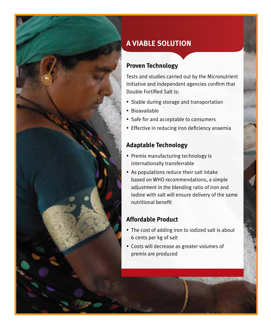

# **A Viable Solution**

### **Proven Technology**

Tests and studies carried out by the Micronutrient Initiative and independent agencies confirm that Double Fortified Salt is:

- Stable during storage and transportation
- Bioavailable
- Safe for and acceptable to consumers
- Effective in reducing iron deficiency anaemia

## **Adaptable Technology**

- Premix manufacturing technology is internationally transferrable
- As populations reduce their salt intake based on WHO recommendations, a simple adjustment in the blending ratio of iron and iodine with salt will ensure delivery of the same nutritional benefit

### **Affordable Product**

- The cost of adding iron to iodized salt is about 6 cents per kg of salt
- • Costs will decrease as greater volumes of premix are produced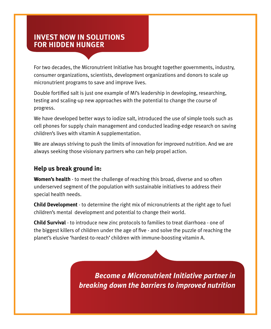# **Invest Now in Solutions for Hidden Hunger**

For two decades, the Micronutrient Initiative has brought together governments, industry, consumer organizations, scientists, development organizations and donors to scale up micronutrient programs to save and improve lives.

Double fortified salt is just one example of MI's leadership in developing, researching, testing and scaling-up new approaches with the potential to change the course of progress.

We have developed better ways to iodize salt, introduced the use of simple tools such as cell phones for supply chain management and conducted leading-edge research on saving children's lives with vitamin A supplementation.

We are always striving to push the limits of innovation for improved nutrition. And we are always seeking those visionary partners who can help propel action.

### **Help us break ground in:**

**Women's health** - to meet the challenge of reaching this broad, diverse and so often underserved segment of the population with sustainable initiatives to address their special health needs.

**Child Development** - to determine the right mix of micronutrients at the right age to fuel children's mental development and potential to change their world.

**Child Survival** - to introduce new zinc protocols to families to treat diarrhoea - one of the biggest killers of children under the age of five - and solve the puzzle of reaching the planet's elusive 'hardest-to-reach' children with immune-boosting vitamin A.

> *Become a Micronutrient Initiative partner in breaking down the barriers to improved nutrition*